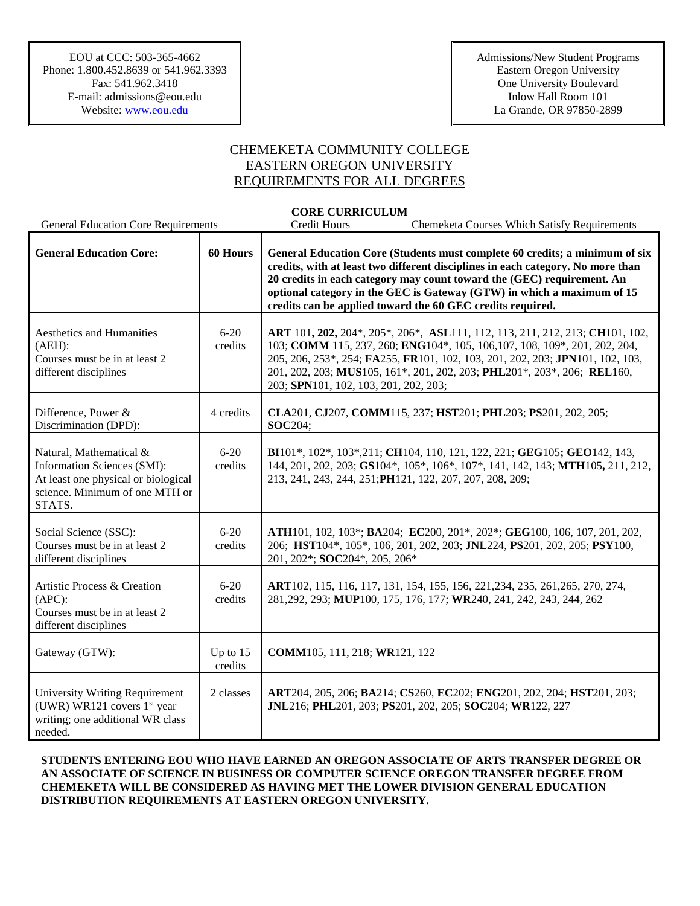## CHEMEKETA COMMUNITY COLLEGE EASTERN OREGON UNIVERSITY REQUIREMENTS FOR ALL DEGREES

## **CORE CURRICULUM**

| <b>General Education Core Requirements</b>                                                                                                |                     | Credit Hours                          | <b>Chemeketa Courses Which Satisfy Requirements</b>                                                                                                                                                                                                                                                                                                                              |
|-------------------------------------------------------------------------------------------------------------------------------------------|---------------------|---------------------------------------|----------------------------------------------------------------------------------------------------------------------------------------------------------------------------------------------------------------------------------------------------------------------------------------------------------------------------------------------------------------------------------|
| <b>General Education Core:</b>                                                                                                            | 60 Hours            |                                       | General Education Core (Students must complete 60 credits; a minimum of six<br>credits, with at least two different disciplines in each category. No more than<br>20 credits in each category may count toward the (GEC) requirement. An<br>optional category in the GEC is Gateway (GTW) in which a maximum of 15<br>credits can be applied toward the 60 GEC credits required. |
| <b>Aesthetics and Humanities</b><br>(AEH):<br>Courses must be in at least 2<br>different disciplines                                      | $6 - 20$<br>credits | 203; SPN101, 102, 103, 201, 202, 203; | ART 101, 202, 204*, 205*, 206*, ASL111, 112, 113, 211, 212, 213; CH101, 102,<br>103; COMM 115, 237, 260; ENG104*, 105, 106, 107, 108, 109*, 201, 202, 204,<br>205, 206, 253*, 254; FA255, FR101, 102, 103, 201, 202, 203; JPN101, 102, 103,<br>201, 202, 203; MUS105, 161*, 201, 202, 203; PHL201*, 203*, 206; REL160,                                                           |
| Difference, Power &<br>Discrimination (DPD):                                                                                              | 4 credits           | <b>SOC204:</b>                        | CLA201, CJ207, COMM115, 237; HST201; PHL203; PS201, 202, 205;                                                                                                                                                                                                                                                                                                                    |
| Natural, Mathematical &<br>Information Sciences (SMI):<br>At least one physical or biological<br>science. Minimum of one MTH or<br>STATS. | $6-20$<br>credits   |                                       | BI101*, 102*, 103*, 211; CH104, 110, 121, 122, 221; GEG105; GEO142, 143,<br>144, 201, 202, 203; GS104*, 105*, 106*, 107*, 141, 142, 143; MTH105, 211, 212,<br>213, 241, 243, 244, 251; PH121, 122, 207, 207, 208, 209;                                                                                                                                                           |
| Social Science (SSC):<br>Courses must be in at least 2<br>different disciplines                                                           | $6 - 20$<br>credits | 201, 202*; SOC204*, 205, 206*         | ATH101, 102, 103*; BA204; EC200, 201*, 202*; GEG100, 106, 107, 201, 202,<br>206; HST104*, 105*, 106, 201, 202, 203; JNL224, PS201, 202, 205; PSY100,                                                                                                                                                                                                                             |
| Artistic Process & Creation<br>$(APC)$ :<br>Courses must be in at least 2<br>different disciplines                                        | $6 - 20$<br>credits |                                       | ART102, 115, 116, 117, 131, 154, 155, 156, 221, 234, 235, 261, 265, 270, 274,<br>281,292, 293; MUP100, 175, 176, 177; WR240, 241, 242, 243, 244, 262                                                                                                                                                                                                                             |
| Gateway (GTW):                                                                                                                            | Up to 15<br>credits | COMM105, 111, 218; WR121, 122         |                                                                                                                                                                                                                                                                                                                                                                                  |
| <b>University Writing Requirement</b><br>(UWR) WR121 covers $1st$ year<br>writing; one additional WR class<br>needed.                     | 2 classes           |                                       | ART204, 205, 206; BA214; CS260, EC202; ENG201, 202, 204; HST201, 203;<br>JNL216; PHL201, 203; PS201, 202, 205; SOC204; WR122, 227                                                                                                                                                                                                                                                |

## **STUDENTS ENTERING EOU WHO HAVE EARNED AN OREGON ASSOCIATE OF ARTS TRANSFER DEGREE OR AN ASSOCIATE OF SCIENCE IN BUSINESS OR COMPUTER SCIENCE OREGON TRANSFER DEGREE FROM CHEMEKETA WILL BE CONSIDERED AS HAVING MET THE LOWER DIVISION GENERAL EDUCATION DISTRIBUTION REQUIREMENTS AT EASTERN OREGON UNIVERSITY.**